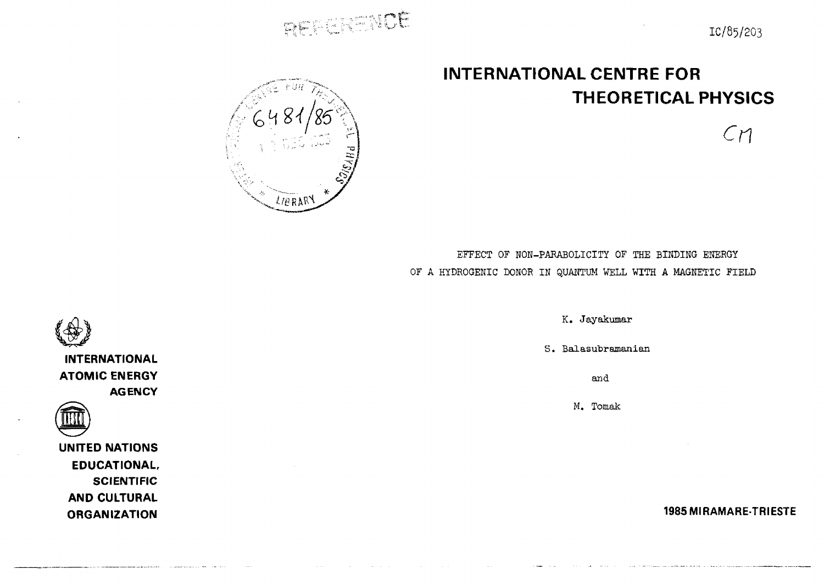



# **INTERNATIONAL CENTRE FOR THEORETICAL PHYSICS**

 $C\eta$ 



K. Jayakumar

S. Balasubramanian

and

M. Tomak

**198SMIRAMARE-TRIESTE**





**INTERNATIONAL ATOMIC ENERGY AGENCY**



**UNITED NATIONS EDUCATIONAL, SCIENTIFIC AND CULTURAL ORGANIZATION**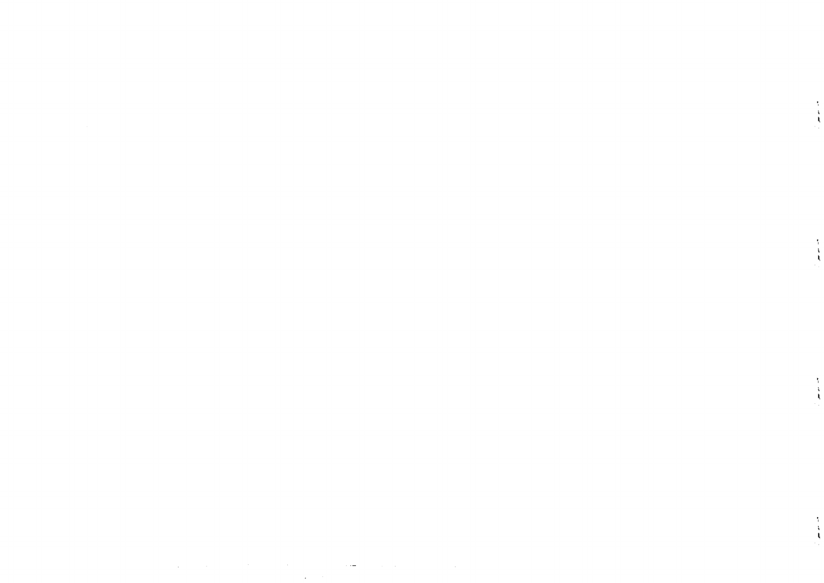$\Lambda$  .  $\hat{\mathbf{A}}$ 

 $\Lambda$  $\frac{3}{4}$ 

车 Å

 $\Lambda$  $\frac{\Lambda}{\Lambda}$ 

 $\mathcal{L}_{\text{max}}$  and the set of the set of the set of the set of the set of the set of the set of the set of the set of the set of the set of the set of the set of the set of the set of the set of the set of the set of the s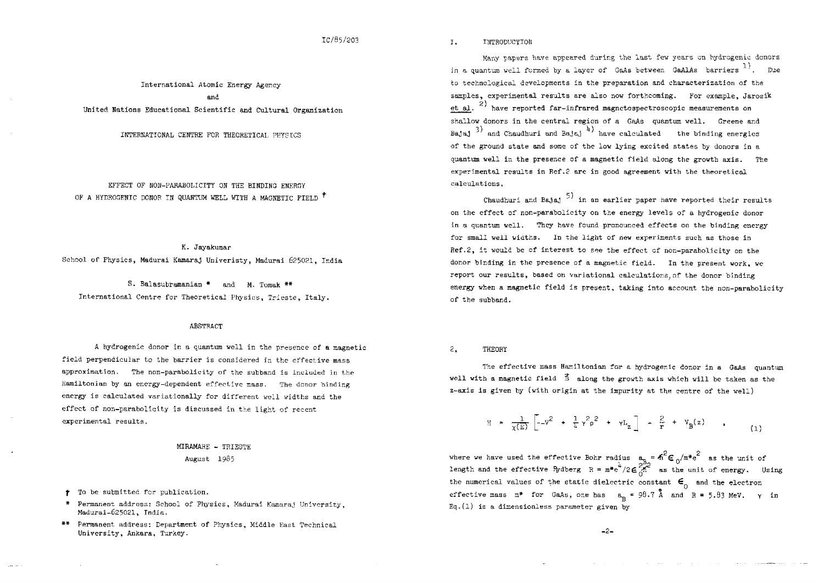IC/85/203 I. INTRODUCTION

Many papers have appeared during the last few years on hydrogenic donors in a quantum well formed by a layer of GaAs between GaAlAs barriers  $1$ ). Due to technological developments in the preparation and characterization of the samples, experimental results are also now forthcoming. For example, Jarosik et al.  $^{2)}$  have reported far-infrared magnetospectroscopic measurements on shallow donors in the central region of a GaAs quantum well. Greene and Bajaj<sup>3)</sup> and Chaudhuri and Bajaj<sup>4</sup>) have calculated the binding energies of the ground state and some of the low lying excited states by donors in a quantum well in the presence of a magnetic field along the growth axis. The experimental results in Ref.2 are in good agreement with the theoretical calculations.

Chaudhuri and Baja,  $\frac{5}{1}$  in an earlier paper have reported their results on the effect of non-parabolicity on the energy levels of a hydrogenic donor on the effect of non-parabolicity on the energy levels of a hydrogenic donor in a quantum well. They have found pronounced effects on the binding energy for small well vidths. In the light of  $\frac{1}{2}$ Ref.2, it would be of interest to see the effect of non-parabolicity on the donor binding in the presence of a magnetic field. In the present work, we report our results, based on variational calculations, of the donor binding report our results, based on variational calculations, of the donor 'binding  $\epsilon$  and a magnetic field is present, taking into account the non-parabolicity of the sufband.

# 2. THEORY

The effective mass Hamiltonian for a hydrogenic donor in a GaAs quantum well with a magnetic field  $\vec{B}$  along the growth axis which will be taken as the z-axis is given by (with origin at the impurity at the centre of the well)

$$
H = \frac{1}{\chi(E)} \left[ -v^2 + \frac{1}{4} \gamma^2 \rho^2 + \gamma L_z \right] - \frac{2}{r} + V_B(z) \qquad (1)
$$

where we have used the effective Bohr radius length and the effective Rydberg  $R = m^* e^7/2\epsilon$  $=$   $\mathbf{\hat{n}}^2$  $\boldsymbol{\epsilon}$   $_0$ /m\* $\mathbf{\hat{e}}^2$  as the unit of as the unit of energy. Using the numerical values of the static dielectric constant  $\mathsf{e}_{\scriptscriptstyle{O}}^{}$  and the electron effective mass  $m^*$  for GaAs, one has  $a^*$   $a^*$  38.7 A and R = 5.83 MeV.  $E_0$ . (1) is a dimensionless parameter given by Eq.(l) is a dimensionless parameter given by

K. Jayakumar School of Physics, Madurai Kamaraj Univeristy, Madurai 625021, India

S. Balasubramanian  $*$  and M. Tomak  $**$ International Centre for Theoretical Physics, Trieste, Italy.

International Atomic Energy Agency and United Nations Educational Scientific and Cultural Organization

INTERNATIONAL CENTRE FOR THEORETICAL PHYSICS

EFFECT OF NON-PARABOLICITY ON THE BINDING ENERGY OF A HYDROGENIC DONOR IN QUANTUM WELL WITH A MAGNETIC FIELD  $^{\dagger}$ 

## ABSTRACT

A hydrogenic donor in a quantum well in the presence of a magnetic field perpendicular to the barrier is considered in the effective mass approximation. The non-paratolicity of the subband is included in the Hamiltonian by an energy-dependent effective mass. The donor binding energy is calculated variationally for different well widths and the effect of non-parabolicity is discussed In the light of recent experimental results.

> MIRAMARE - TRIESTE August 1985

- To be submitted for publication.
- Permanent address: School of Physics, Madurai Kamaraj University, Madurai-625021, India.
- \*\* Permanent address: Department of Physics, Middle East Technical University, Ankara, Turkey.

 $-2-$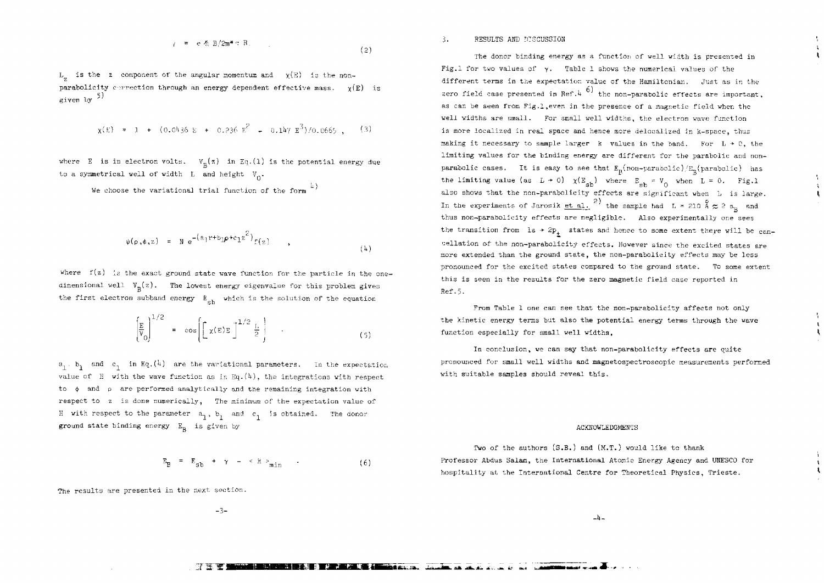$$
f = e \Phi B / 2m^* \circ R. \tag{2}
$$

 $L_n$  is the z component of the angular momentum and  $\chi(E)$  is the nonparabolicity correction through an energy dependent effective mass.  $y(E)$  is given by  $5)$ 

$$
\chi(E) = 1 + (0.0436 E + 0.236 E2 - 0.147 E3)/0.0665
$$
 (3)

where  $E$  is in electron volts.  $V_{n}(z)$  in  $Eq.(1)$  is the potential energy due to a symmetrical well of width L and height  $V_0$ .

We choose the variational trial function of the form  $\frac{h}{h}$ )

$$
\psi(\rho,\phi,z) = N e^{-\left(\alpha_1 r + b_1 \rho + c_1 z^2\right)} f(z), \qquad (4)
$$

where  $f(z)$  is the exact ground state wave function for the particle in the onedimensional well  $V_p(z)$ . The lowest energy eigenvalue for this problem gives the first electron subband energy  $E_{ch}$  which is the solution of the equation

$$
\left(\frac{E}{V_0}\right)^{1/2} = \cos\left[\left(\chi(E)E\right)^{1/2}\frac{L}{2}\right] \tag{5}
$$

 $a_1 \cdot b_1$  and  $c_1$  in Eq.(4) are the variational parameters. In the expectation value of H with the wave function as in Eq.  $(4)$ , the integrations with respect to  $\phi$  and  $\rho$  are performed analytically and the remaining integration with respect to z is done numerically, The minimum of the expectation value of H with respect to the parameter  $a_1$ ,  $b_1$  and  $c_1$  is obtained. The donor ground state binding energy  $E_R$  is given by

$$
E_{\mathbf{B}} = E_{\mathbf{S}b} + \gamma - \langle R \rangle_{\text{min}} \tag{6}
$$

The results are presented in the next section.

-3-

### 3. RESULTS AND DISCUSSION

The donor binding energy as a function of well width is presented in Fig.1 for two values of  $y$ . Table 1 shows the numerical values of the different terms in the expectation value of the Hamiltonian. Just as in the zero field case presented in Ref. $\frac{1}{4}$  the non-parabolic effects are important. as can be seen from Fig.1,even in the presence of a magnetic field vhen the well widths are small. For small well widths, the electron wave function is more localized in real space and hence more delocalized in k-space, thus making it necessary to sample larger k values in the band. For  $L \rightarrow 0$ , the limiting values for the binding energy are different for the parabolic and nonparabolic cases. It is easy to see that  $E_n$ (non-parabolic)/ $E_n$ (parabolic) has the limiting value (as  $L \rightarrow 0$ )  $\chi(E_{sb})$  where  $E_{sb} = V_0$  when  $L = 0$ . Fig.1 also shows that the non-parabolicity effects are significant when L is large. In the experiments of Jarosik et al<sub>1</sub> <sup>2</sup> the sample had  $L = 210 \stackrel{6}{\hbar} \approx 2 a_0$  and thus non-parabolicity effects are negligible. Also experimentally one sees the transition from  $1s + 2p_+$  states and hence to some extent there will be cancellation of the non-parabolicity effects. However since the excited states are more extended than the ground state, the non-parabolicity effects may be less pronounced for the excited states compared to the ground state. To some extent this is seen in the results for the zero magnetic field case reported in Ref.5.

From Table 1 one can see that the non-parabolicity affects not only the kinetic energy terms but also the potential energy terms through the wave function especially for small well widths.

In conclusion, we can say that non-parabolicity effects are quite pronounced for small well widths and magnetospectroseopic measurements performed with suitable samples should reveal this.

## **ACKNOWLEDGMENTS**

Two of the authors (S.B.) and (M.T.) would like to thank Professor Abdus Salam, the International Atomic Energy Agency and UNESCO for hospitality at the International Centre for Theoretical Physics, Trieste.

-k-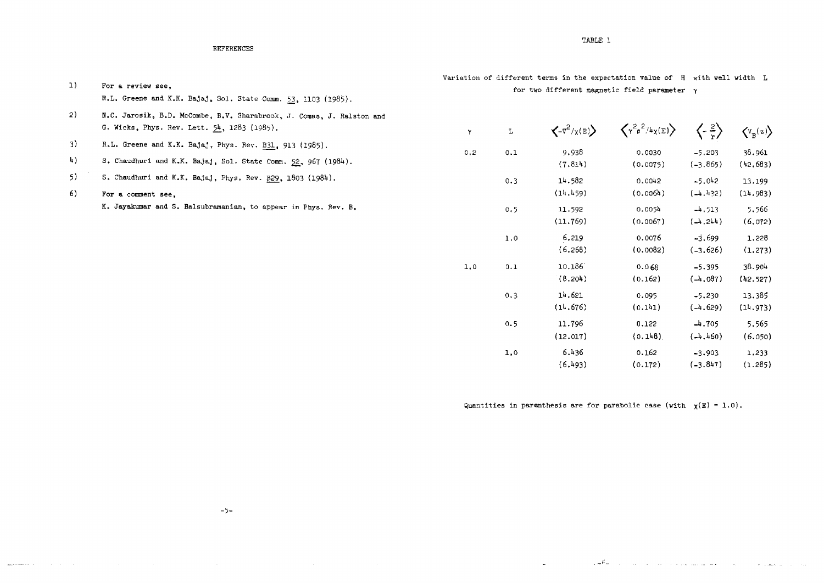# REFEBENCES

|                   | For a review see,<br>R.L. Greene and K.K. Bajaj, Sol. State Comm. 53, 1103 (1985).                                                                | Variation of different terms in the expectation value of H with well width L<br>for two different magnetic field parameter $\gamma$ |             |                                     |                                                           |                                     |                                                        |
|-------------------|---------------------------------------------------------------------------------------------------------------------------------------------------|-------------------------------------------------------------------------------------------------------------------------------------|-------------|-------------------------------------|-----------------------------------------------------------|-------------------------------------|--------------------------------------------------------|
| $\vert 1 \rangle$ |                                                                                                                                                   |                                                                                                                                     |             |                                     |                                                           |                                     |                                                        |
| -2)               | N.C. Jarosik, B.D. McCombe, B.V. Sharabrook, J. Comas, J. Ralston and<br>G. Wicks, Phys. Rev. Lett. 54, 1283 (1985).                              | Y                                                                                                                                   | $\mathbf L$ | $\langle -\nabla^2/\chi(E) \rangle$ | $\langle \gamma^2 \rho^2 / \psi_\chi(\mathbb{E}) \rangle$ | $\langle \cdot \frac{2}{r} \rangle$ | $\left\langle \mathbf{v_{B}}(\mathbf{z})\right\rangle$ |
| 3)<br>4)          | R.L. Greene and K.K. Bajaj, Phys. Rev. B31, 913 (1985).<br>S. Chaudhuri and K.K. Bajaj, Sol. State Comm. 52, 967 (1984).                          | 0.2                                                                                                                                 | 0.1         | 9,938<br>(7.814)                    | 0.0030<br>(0.0075)                                        | $-5.203$<br>$(-3.865)$              | 38.961<br>(42, 683)                                    |
| 5)<br>6)          | S. Chaudhuri and K.K. Bajaj, Phys. Rev. B29, 1803 (1984).<br>For a comment see.<br>K. Jayakumar and S. Balsubramanian, to appear in Phys. Rev. B. |                                                                                                                                     | 0.3         | 14.582<br>(14.459)                  | 0.0042<br>(0.0064)                                        | $-5.042$<br>$(-4, 432)$             | 13.199<br>(14.983)                                     |
|                   |                                                                                                                                                   |                                                                                                                                     | 0.5         | 11.592<br>(11.769)                  | 0.0054<br>(0.0067)                                        | $-4.513$<br>$(-4, 244)$             | 5.566<br>(6.072)                                       |
|                   |                                                                                                                                                   |                                                                                                                                     | 1,0         | 6.219<br>(6.268)                    | 0.0076<br>(0.0082)                                        | $-3.699$<br>$(-3, 626)$             | 1.228<br>(1.273)                                       |
|                   |                                                                                                                                                   | 1,0                                                                                                                                 | 0.1         | 10.186<br>(8.204)                   | 0.068<br>(0.162)                                          | $-5.395$<br>$(-4.087)$              | 38.904<br>(42.527)                                     |
|                   |                                                                                                                                                   |                                                                                                                                     | 0.3         | 14.621<br>(14.676)                  | 0.095<br>(0.141)                                          | $-5.230$<br>$(-4.629)$              | 13.385<br>(14.973)                                     |
|                   |                                                                                                                                                   |                                                                                                                                     | 0.5         | 11.796<br>(12.017)                  | 0.122<br>(0.148)                                          | $-4.705$<br>$(-1, 460)$             | 5.565<br>(6.050)                                       |
|                   |                                                                                                                                                   |                                                                                                                                     | 1.0         | 6.436<br>(6.193)                    | 0.162<br>(0.172)                                          | $-3.903$<br>$(-3.847)$              | 1,233<br>(1.285)                                       |

Quantities in parenthesis are for parabolic case (with  $\chi(E) = 1.0$ ).

 $\ddot{\phantom{0}}$ 

TABLE 1

 $-5 -$ 

المحمد